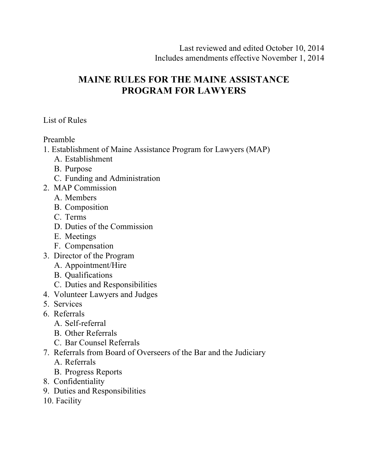# **MAINE RULES FOR THE MAINE ASSISTANCE PROGRAM FOR LAWYERS**

List of Rules

Preamble

- 1. Establishment of Maine Assistance Program for Lawyers (MAP)
	- A. Establishment
	- B. Purpose
	- C. Funding and Administration
- 2. MAP Commission
	- A. Members
	- B. Composition
	- C. Terms
	- D. Duties of the Commission
	- E. Meetings
	- F. Compensation
- 3. Director of the Program
	- A. Appointment/Hire
	- B. Qualifications
	- C. Duties and Responsibilities
- 4. Volunteer Lawyers and Judges
- 5. Services
- 6. Referrals
	- A. Self-referral
	- B. Other Referrals
	- C. Bar Counsel Referrals
- 7. Referrals from Board of Overseers of the Bar and the Judiciary
	- A. Referrals
	- B. Progress Reports
- 8. Confidentiality
- 9. Duties and Responsibilities
- 10. Facility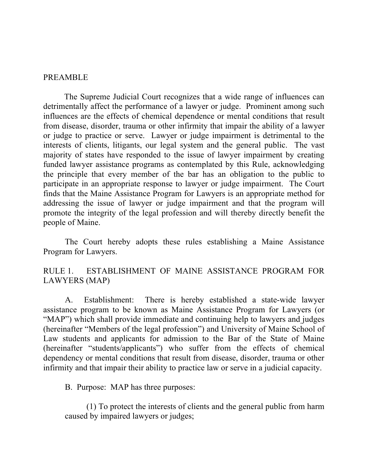#### PREAMBLE

 The Supreme Judicial Court recognizes that a wide range of influences can detrimentally affect the performance of a lawyer or judge. Prominent among such influences are the effects of chemical dependence or mental conditions that result from disease, disorder, trauma or other infirmity that impair the ability of a lawyer or judge to practice or serve. Lawyer or judge impairment is detrimental to the interests of clients, litigants, our legal system and the general public. The vast majority of states have responded to the issue of lawyer impairment by creating funded lawyer assistance programs as contemplated by this Rule, acknowledging the principle that every member of the bar has an obligation to the public to participate in an appropriate response to lawyer or judge impairment. The Court finds that the Maine Assistance Program for Lawyers is an appropriate method for addressing the issue of lawyer or judge impairment and that the program will promote the integrity of the legal profession and will thereby directly benefit the people of Maine.

The Court hereby adopts these rules establishing a Maine Assistance Program for Lawyers.

RULE 1. ESTABLISHMENT OF MAINE ASSISTANCE PROGRAM FOR LAWYERS (MAP)

A. Establishment: There is hereby established a state-wide lawyer assistance program to be known as Maine Assistance Program for Lawyers (or "MAP") which shall provide immediate and continuing help to lawyers and judges (hereinafter "Members of the legal profession") and University of Maine School of Law students and applicants for admission to the Bar of the State of Maine (hereinafter "students/applicants") who suffer from the effects of chemical dependency or mental conditions that result from disease, disorder, trauma or other infirmity and that impair their ability to practice law or serve in a judicial capacity.

B. Purpose: MAP has three purposes:

(1) To protect the interests of clients and the general public from harm caused by impaired lawyers or judges;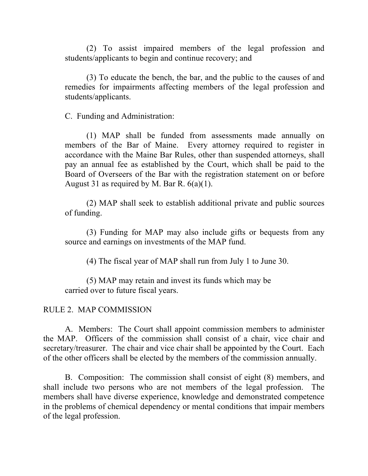(2) To assist impaired members of the legal profession and students/applicants to begin and continue recovery; and

(3) To educate the bench, the bar, and the public to the causes of and remedies for impairments affecting members of the legal profession and students/applicants.

C. Funding and Administration:

(1) MAP shall be funded from assessments made annually on members of the Bar of Maine. Every attorney required to register in accordance with the Maine Bar Rules, other than suspended attorneys, shall pay an annual fee as established by the Court, which shall be paid to the Board of Overseers of the Bar with the registration statement on or before August 31 as required by M. Bar R.  $6(a)(1)$ .

(2) MAP shall seek to establish additional private and public sources of funding.

(3) Funding for MAP may also include gifts or bequests from any source and earnings on investments of the MAP fund.

(4) The fiscal year of MAP shall run from July 1 to June 30.

(5) MAP may retain and invest its funds which may be carried over to future fiscal years.

#### RULE 2. MAP COMMISSION

A. Members: The Court shall appoint commission members to administer the MAP. Officers of the commission shall consist of a chair, vice chair and secretary/treasurer. The chair and vice chair shall be appointed by the Court. Each of the other officers shall be elected by the members of the commission annually.

B. Composition: The commission shall consist of eight (8) members, and shall include two persons who are not members of the legal profession. The members shall have diverse experience, knowledge and demonstrated competence in the problems of chemical dependency or mental conditions that impair members of the legal profession.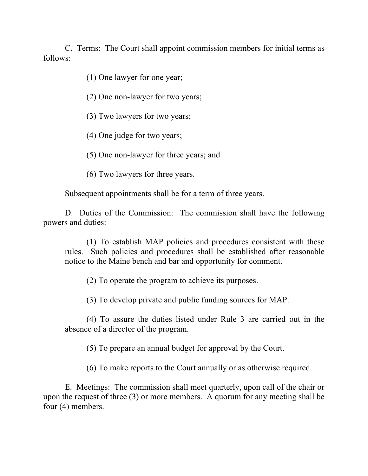C. Terms: The Court shall appoint commission members for initial terms as follows:

(1) One lawyer for one year;

(2) One non-lawyer for two years;

(3) Two lawyers for two years;

(4) One judge for two years;

(5) One non-lawyer for three years; and

(6) Two lawyers for three years.

Subsequent appointments shall be for a term of three years.

D. Duties of the Commission: The commission shall have the following powers and duties:

(1) To establish MAP policies and procedures consistent with these rules. Such policies and procedures shall be established after reasonable notice to the Maine bench and bar and opportunity for comment.

(2) To operate the program to achieve its purposes.

(3) To develop private and public funding sources for MAP.

(4) To assure the duties listed under Rule 3 are carried out in the absence of a director of the program.

(5) To prepare an annual budget for approval by the Court.

(6) To make reports to the Court annually or as otherwise required.

E. Meetings: The commission shall meet quarterly, upon call of the chair or upon the request of three (3) or more members. A quorum for any meeting shall be four (4) members.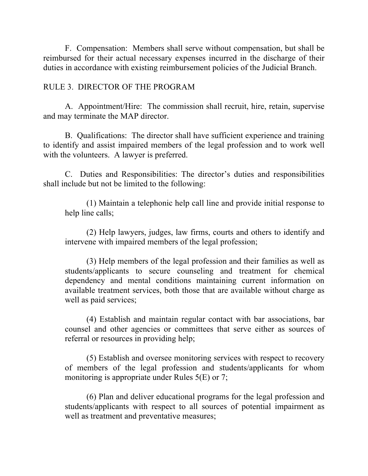F. Compensation: Members shall serve without compensation, but shall be reimbursed for their actual necessary expenses incurred in the discharge of their duties in accordance with existing reimbursement policies of the Judicial Branch.

#### RULE 3. DIRECTOR OF THE PROGRAM

A. Appointment/Hire: The commission shall recruit, hire, retain, supervise and may terminate the MAP director.

B. Qualifications: The director shall have sufficient experience and training to identify and assist impaired members of the legal profession and to work well with the volunteers. A lawyer is preferred.

C. Duties and Responsibilities: The director's duties and responsibilities shall include but not be limited to the following:

(1) Maintain a telephonic help call line and provide initial response to help line calls;

(2) Help lawyers, judges, law firms, courts and others to identify and intervene with impaired members of the legal profession;

(3) Help members of the legal profession and their families as well as students/applicants to secure counseling and treatment for chemical dependency and mental conditions maintaining current information on available treatment services, both those that are available without charge as well as paid services;

(4) Establish and maintain regular contact with bar associations, bar counsel and other agencies or committees that serve either as sources of referral or resources in providing help;

(5) Establish and oversee monitoring services with respect to recovery of members of the legal profession and students/applicants for whom monitoring is appropriate under Rules 5(E) or 7;

(6) Plan and deliver educational programs for the legal profession and students/applicants with respect to all sources of potential impairment as well as treatment and preventative measures;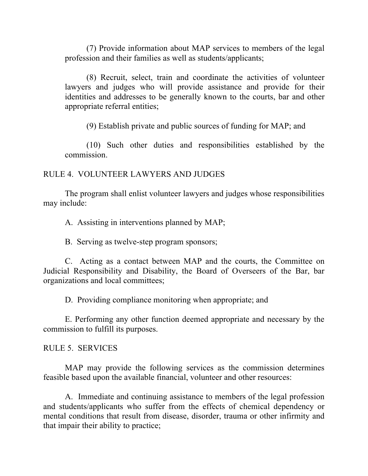(7) Provide information about MAP services to members of the legal profession and their families as well as students/applicants;

(8) Recruit, select, train and coordinate the activities of volunteer lawyers and judges who will provide assistance and provide for their identities and addresses to be generally known to the courts, bar and other appropriate referral entities;

(9) Establish private and public sources of funding for MAP; and

(10) Such other duties and responsibilities established by the commission.

### RULE 4. VOLUNTEER LAWYERS AND JUDGES

The program shall enlist volunteer lawyers and judges whose responsibilities may include:

A. Assisting in interventions planned by MAP;

B. Serving as twelve-step program sponsors;

C. Acting as a contact between MAP and the courts, the Committee on Judicial Responsibility and Disability, the Board of Overseers of the Bar, bar organizations and local committees;

D. Providing compliance monitoring when appropriate; and

E. Performing any other function deemed appropriate and necessary by the commission to fulfill its purposes.

### RULE 5. SERVICES

MAP may provide the following services as the commission determines feasible based upon the available financial, volunteer and other resources:

A. Immediate and continuing assistance to members of the legal profession and students/applicants who suffer from the effects of chemical dependency or mental conditions that result from disease, disorder, trauma or other infirmity and that impair their ability to practice;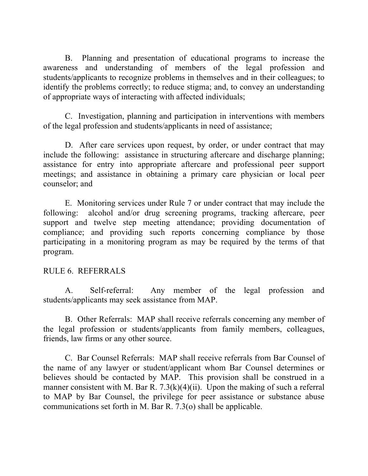B. Planning and presentation of educational programs to increase the awareness and understanding of members of the legal profession and students/applicants to recognize problems in themselves and in their colleagues; to identify the problems correctly; to reduce stigma; and, to convey an understanding of appropriate ways of interacting with affected individuals;

C. Investigation, planning and participation in interventions with members of the legal profession and students/applicants in need of assistance;

D. After care services upon request, by order, or under contract that may include the following: assistance in structuring aftercare and discharge planning; assistance for entry into appropriate aftercare and professional peer support meetings; and assistance in obtaining a primary care physician or local peer counselor; and

E. Monitoring services under Rule 7 or under contract that may include the following: alcohol and/or drug screening programs, tracking aftercare, peer support and twelve step meeting attendance; providing documentation of compliance; and providing such reports concerning compliance by those participating in a monitoring program as may be required by the terms of that program.

### RULE 6. REFERRALS

A. Self-referral: Any member of the legal profession and students/applicants may seek assistance from MAP.

B. Other Referrals: MAP shall receive referrals concerning any member of the legal profession or students/applicants from family members, colleagues, friends, law firms or any other source.

C. Bar Counsel Referrals: MAP shall receive referrals from Bar Counsel of the name of any lawyer or student/applicant whom Bar Counsel determines or believes should be contacted by MAP. This provision shall be construed in a manner consistent with M. Bar R.  $7.3(k)(4)(ii)$ . Upon the making of such a referral to MAP by Bar Counsel, the privilege for peer assistance or substance abuse communications set forth in M. Bar R. 7.3(o) shall be applicable.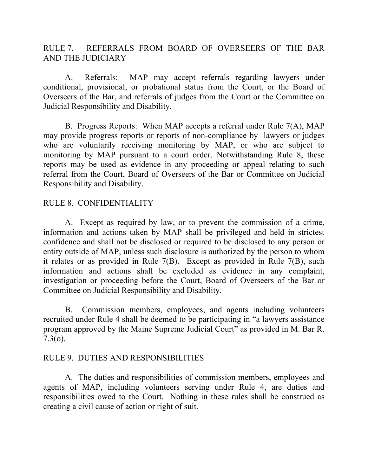RULE 7. REFERRALS FROM BOARD OF OVERSEERS OF THE BAR AND THE JUDICIARY

A. Referrals: MAP may accept referrals regarding lawyers under conditional, provisional, or probational status from the Court, or the Board of Overseers of the Bar, and referrals of judges from the Court or the Committee on Judicial Responsibility and Disability.

B. Progress Reports: When MAP accepts a referral under Rule 7(A), MAP may provide progress reports or reports of non-compliance by lawyers or judges who are voluntarily receiving monitoring by MAP, or who are subject to monitoring by MAP pursuant to a court order. Notwithstanding Rule 8, these reports may be used as evidence in any proceeding or appeal relating to such referral from the Court, Board of Overseers of the Bar or Committee on Judicial Responsibility and Disability.

### RULE 8. CONFIDENTIALITY

A. Except as required by law, or to prevent the commission of a crime, information and actions taken by MAP shall be privileged and held in strictest confidence and shall not be disclosed or required to be disclosed to any person or entity outside of MAP, unless such disclosure is authorized by the person to whom it relates or as provided in Rule 7(B). Except as provided in Rule 7(B), such information and actions shall be excluded as evidence in any complaint, investigation or proceeding before the Court, Board of Overseers of the Bar or Committee on Judicial Responsibility and Disability.

B. Commission members, employees, and agents including volunteers recruited under Rule 4 shall be deemed to be participating in "a lawyers assistance program approved by the Maine Supreme Judicial Court" as provided in M. Bar R. 7.3(o).

### RULE 9. DUTIES AND RESPONSIBILITIES

A. The duties and responsibilities of commission members, employees and agents of MAP, including volunteers serving under Rule 4, are duties and responsibilities owed to the Court. Nothing in these rules shall be construed as creating a civil cause of action or right of suit.